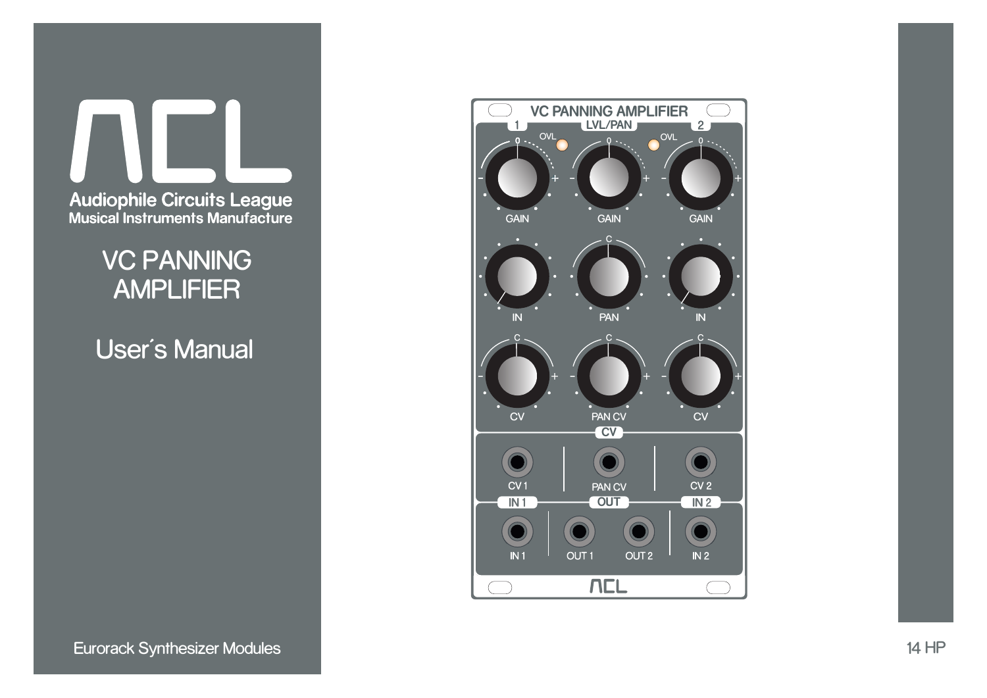

VC PANNING AMPLIFIER

User's Manual

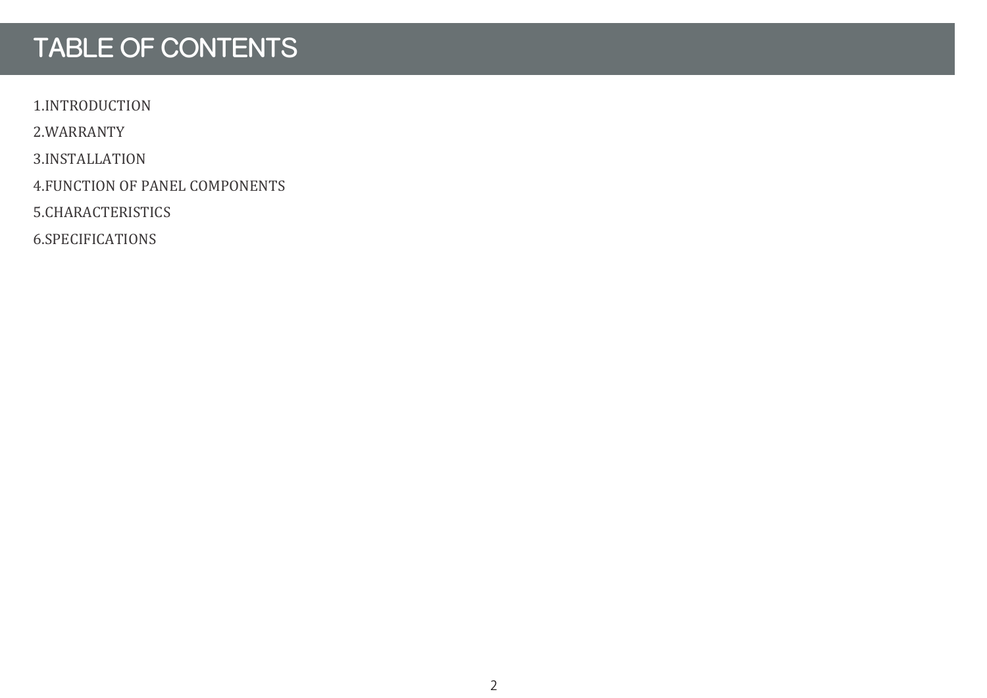# TABLE OF CONTENTS

1.INTRODUCTION

2.WARRANTY

3.INSTALLATION

4.FUNCTION OF PANEL COMPONENTS

5.CHARACTERISTICS

6.SPECIFICATIONS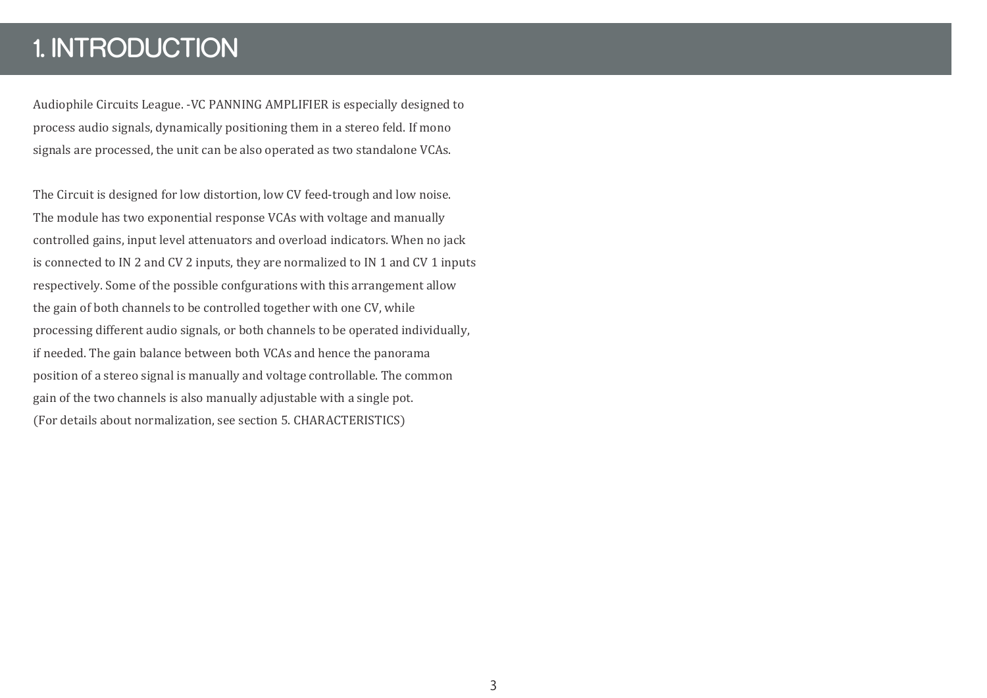## 1. INTRODUCTION

Audiophile Circuits League. -VC PANNING AMPLIFIER is especially designed to process audio signals, dynamically positioning them in a stereo feld. If mono signals are processed, the unit can be also operated as two standalone VCAs.

The Circuit is designed for low distortion, low CV feed-trough and low noise. The module has two exponential response VCAs with voltage and manually controlled gains, input level attenuators and overload indicators. When no jack is connected to IN 2 and CV 2 inputs, they are normalized to IN 1 and CV 1 inputs respectively. Some of the possible confgurations with this arrangement allow the gain of both channels to be controlled together with one CV, while processing different audio signals, or both channels to be operated individually, if needed. The gain balance between both VCAs and hence the panorama position of a stereo signal is manually and voltage controllable. The common gain of the two channels is also manually adjustable with a single pot. (For details about normalization, see section 5. CHARACTERISTICS)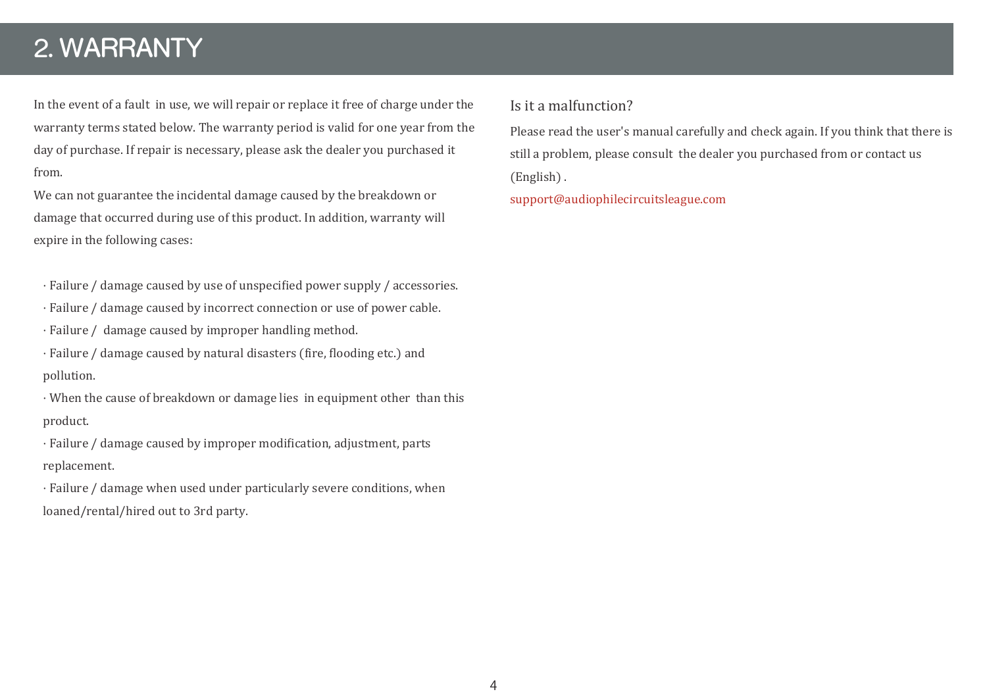### 2. WARRANTY

In the event of a fault in use, we will repair or replace it free of charge under the warranty terms stated below. The warranty period is valid for one year from the day of purchase. If repair is necessary, please ask the dealer you purchased it from.

We can not guarantee the incidental damage caused by the breakdown or damage that occurred during use of this product. In addition, warranty will expire in the following cases:

- · Failure / damage caused by use of unspeci�ied power supply / accessories.
- · Failure / damage caused by incorrect connection or use of power cable.
- · Failure / damage caused by improper handling method.

· Failure / damage caused by natural disasters (�ire, �looding etc.) and pollution.

· When the cause of breakdown or damage lies in equipment other than this product.

· Failure / damage caused by improper modi�ication, adjustment, parts replacement.

· Failure / damage when used under particularly severe conditions, when loaned/rental/hired out to 3rd party.

#### Is it a malfunction?

Please read the user's manual carefully and check again. If you think that there is still a problem, please consult the dealer you purchased from or contact us (English) .

support@audiophilecircuitsleague.com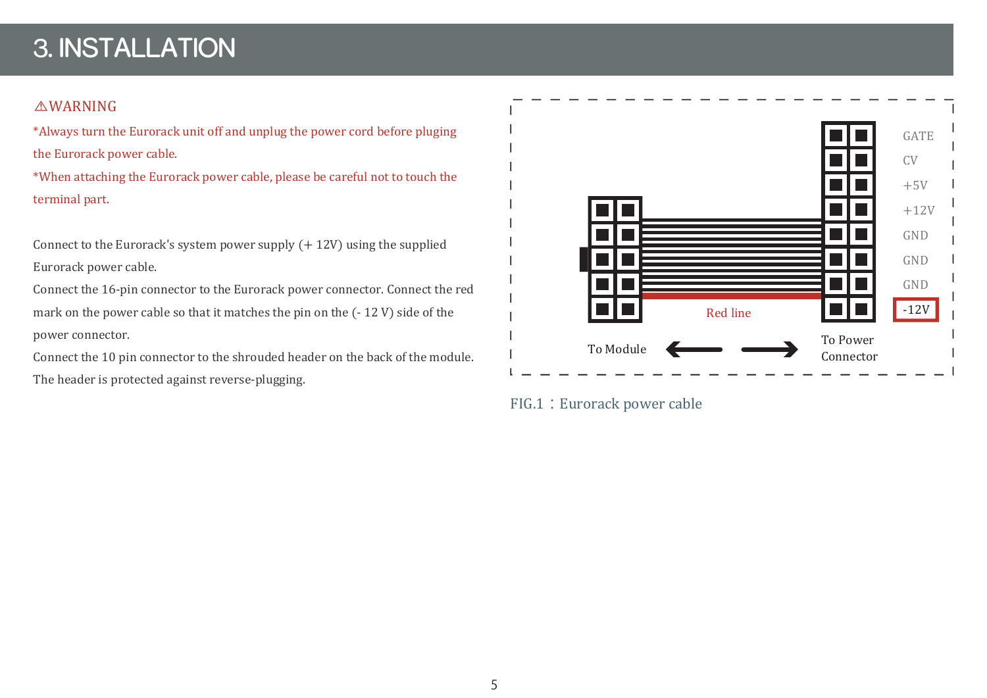# 3. INSTALLATION

#### *AWARNING*

\*Always turn the Eurorack unit off and unplug the power cord before pluging the Eurorack power cable.

\*When attaching the Eurorack power cable, please be careful not to touch the terminal part.

Connect to the Eurorack's system power supply (+ 12V) using the supplied Eurorack power cable.

Connect the 16-pin connector to the Eurorack power connector. Connect the red mark on the power cable so that it matches the pin on the (- 12 V) side of the power connector.

Connect the 10 pin connector to the shrouded header on the back of the module. The header is protected against reverse-plugging.



FIG.1: Eurorack power cable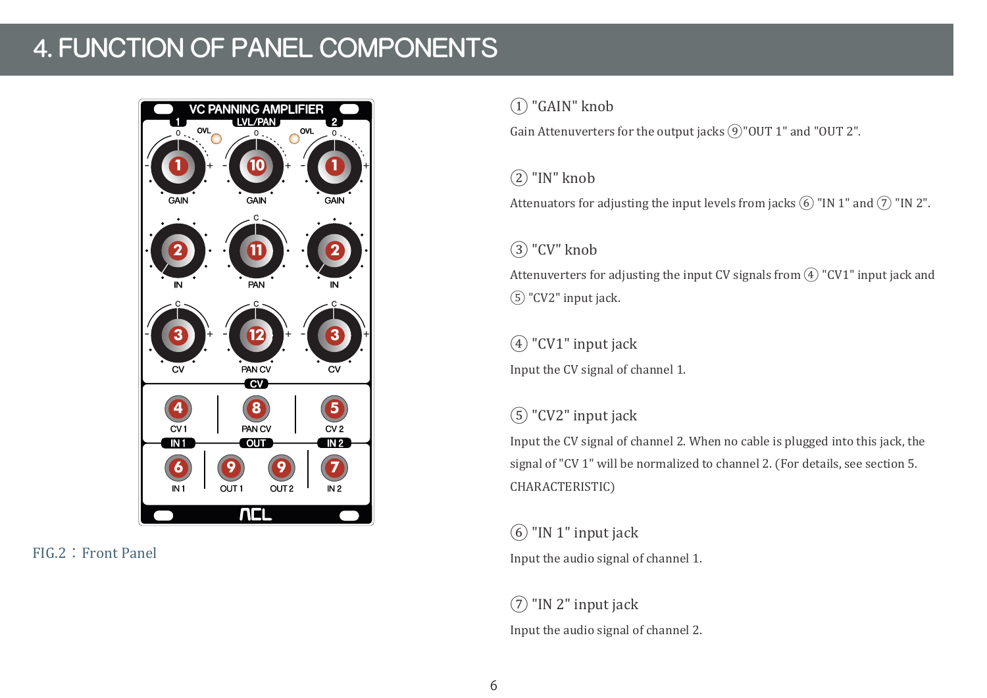# 4. FUNCTION OF PANEL COMPONENTS



FIG.2:Front Panel

#### ① "GAIN" knob

Gain Attenuverters for the output jacks  $\Theta$ "OUT 1" and "OUT 2".

### $(2)$  "IN" knob

Attenuators for adjusting the input levels from jacks  $\overline{6}$  "IN 1" and  $\overline{7}$  "IN 2".

### $(3)$  "CV" knob

Attenuverters for adjusting the input CV signals from  $\overline{4}$ ) "CV1" input jack and ⑤ "CV2" input jack.

### ④ "CV1" input jack

Input the CV signal of channel 1.

### ⑤ "CV2" input jack

Input the CV signal of channel 2. When no cable is plugged into this jack, the signal of "CV 1" will be normalized to channel 2. (For details, see section 5. CHARACTERISTIC)

 $(6)$  "IN 1" input jack Input the audio signal of channel 1.

 $(7)$  "IN 2" input jack Input the audio signal of channel 2.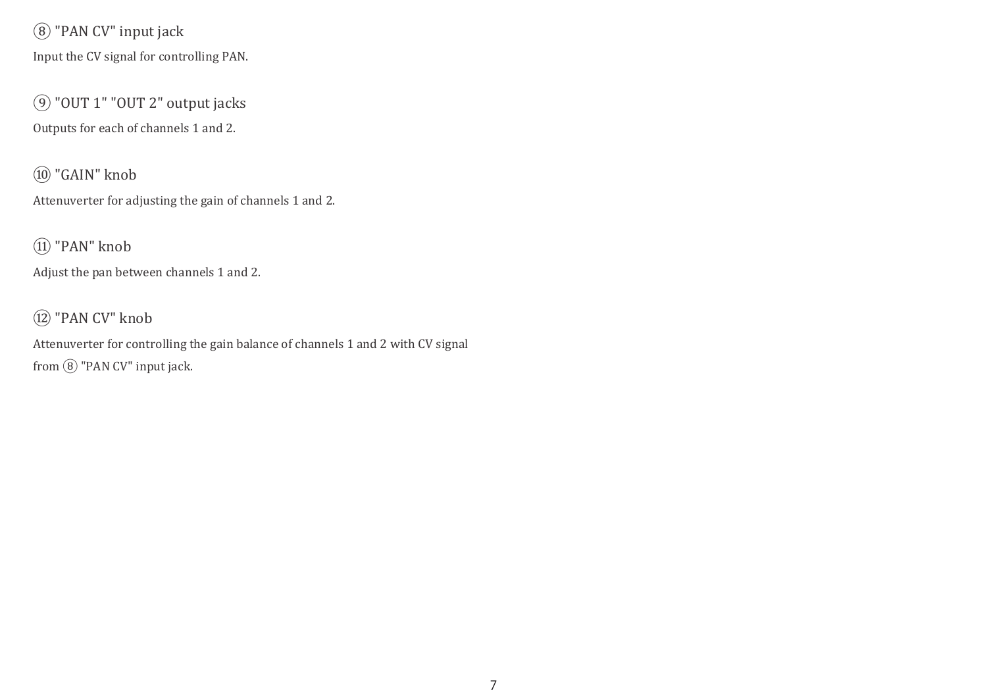### ⑧ "PAN CV" input jack

Input the CV signal for controlling PAN.

⑨ "OUT 1" "OUT 2" output jacks Outputs for each of channels 1 and 2.

⑩ "GAIN" knob

Attenuverter for adjusting the gain of channels 1 and 2.

⑪ "PAN" knob

Adjust the pan between channels 1 and 2.

### ⑫ "PAN CV" knob

Attenuverter for controlling the gain balance of channels 1 and 2 with CV signal from  $\circledR$  "PAN CV" input jack.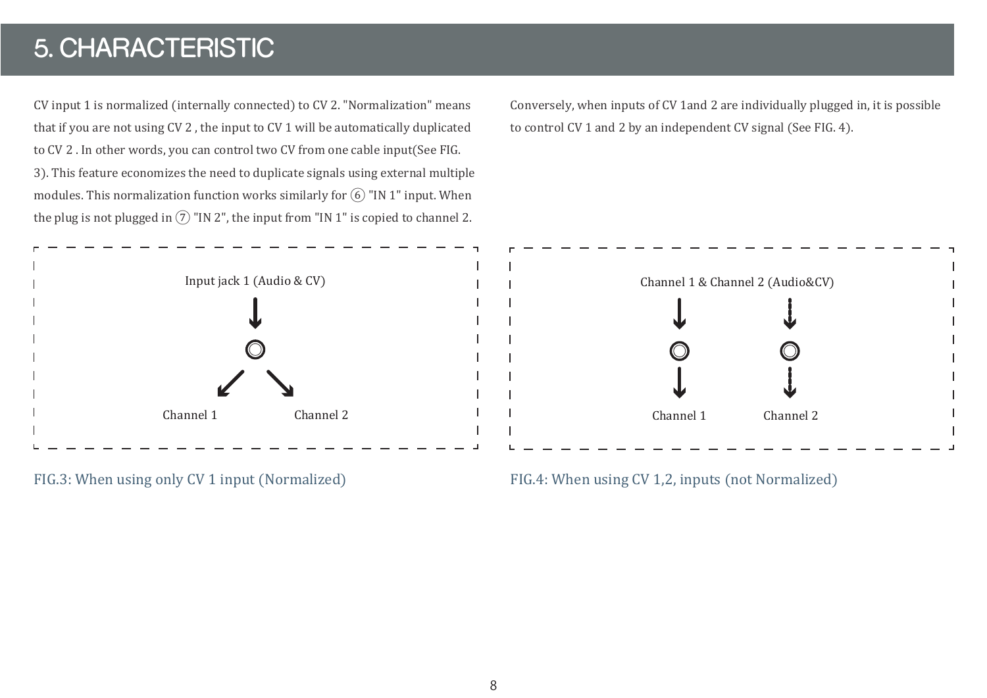# 5. CHARACTERISTIC

CV input 1 is normalized (internally connected) to CV 2. "Normalization" means that if you are not using CV 2 , the input to CV 1 will be automatically duplicated to CV 2 . In other words, you can control two CV from one cable input(See FIG. 3). This feature economizes the need to duplicate signals using external multiple modules. This normalization function works similarly for  $\overline{6}$  "IN 1" input. When the plug is not plugged in  $(7)$  "IN 2", the input from "IN 1" is copied to channel 2.



Conversely, when inputs of CV 1and 2 are individually plugged in, it is possible to control CV 1 and 2 by an independent CV signal (See FIG. 4).



FIG.3: When using only CV 1 input (Normalized) FIG.4: When using CV 1,2, inputs (not Normalized)